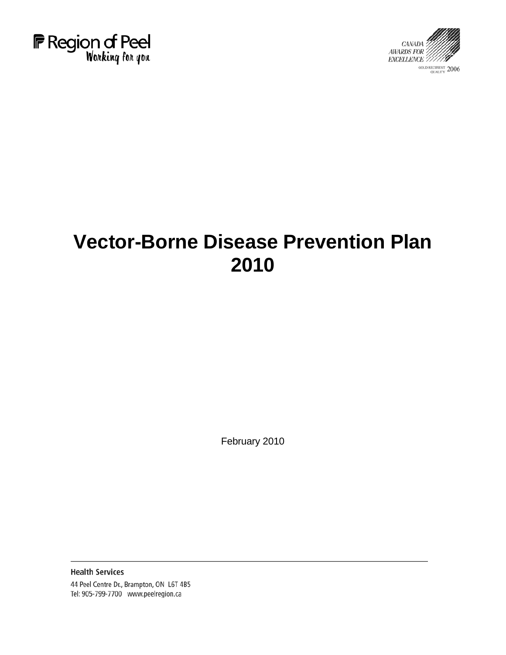



# **Vector-Borne Disease Prevention Plan 2010**

February 2010

**Health Services** 44 Peel Centre Dr., Brampton, ON L6T 4B5 Tel: 905-799-7700 www.peelregion.ca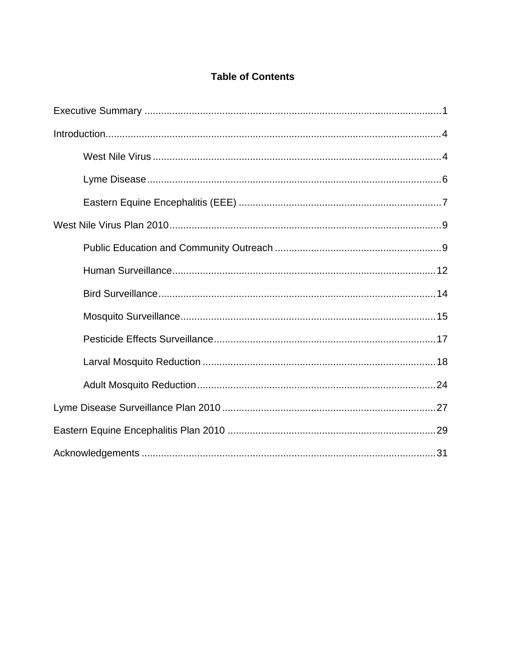# **Table of Contents**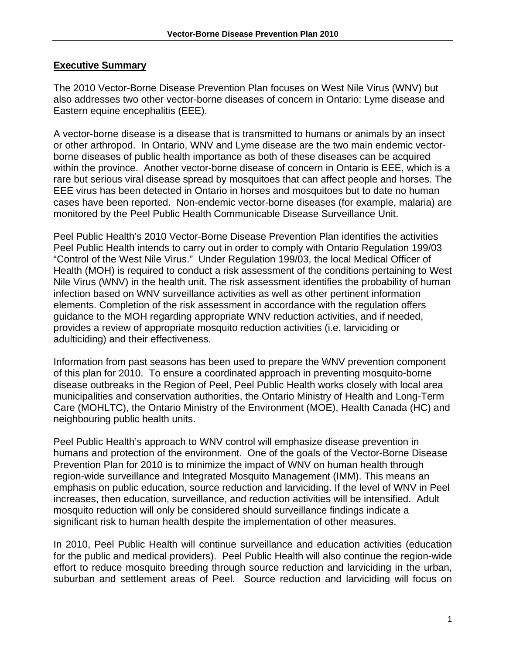#### **Executive Summary**

The 2010 Vector-Borne Disease Prevention Plan focuses on West Nile Virus (WNV) but also addresses two other vector-borne diseases of concern in Ontario: Lyme disease and Eastern equine encephalitis (EEE).

A vector-borne disease is a disease that is transmitted to humans or animals by an insect or other arthropod. In Ontario, WNV and Lyme disease are the two main endemic vectorborne diseases of public health importance as both of these diseases can be acquired within the province. Another vector-borne disease of concern in Ontario is EEE, which is a rare but serious viral disease spread by mosquitoes that can affect people and horses. The EEE virus has been detected in Ontario in horses and mosquitoes but to date no human cases have been reported. Non-endemic vector-borne diseases (for example, malaria) are monitored by the Peel Public Health Communicable Disease Surveillance Unit.

Peel Public Health's 2010 Vector-Borne Disease Prevention Plan identifies the activities Peel Public Health intends to carry out in order to comply with Ontario Regulation 199/03 "Control of the West Nile Virus." Under Regulation 199/03, the local Medical Officer of Health (MOH) is required to conduct a risk assessment of the conditions pertaining to West Nile Virus (WNV) in the health unit. The risk assessment identifies the probability of human infection based on WNV surveillance activities as well as other pertinent information elements. Completion of the risk assessment in accordance with the regulation offers guidance to the MOH regarding appropriate WNV reduction activities, and if needed, provides a review of appropriate mosquito reduction activities (i.e. larviciding or adulticiding) and their effectiveness.

Information from past seasons has been used to prepare the WNV prevention component of this plan for 2010. To ensure a coordinated approach in preventing mosquito-borne disease outbreaks in the Region of Peel, Peel Public Health works closely with local area municipalities and conservation authorities, the Ontario Ministry of Health and Long-Term Care (MOHLTC), the Ontario Ministry of the Environment (MOE), Health Canada (HC) and neighbouring public health units.

Peel Public Health's approach to WNV control will emphasize disease prevention in humans and protection of the environment. One of the goals of the Vector-Borne Disease Prevention Plan for 2010 is to minimize the impact of WNV on human health through region-wide surveillance and Integrated Mosquito Management (IMM). This means an emphasis on public education, source reduction and larviciding. If the level of WNV in Peel increases, then education, surveillance, and reduction activities will be intensified. Adult mosquito reduction will only be considered should surveillance findings indicate a significant risk to human health despite the implementation of other measures.

In 2010, Peel Public Health will continue surveillance and education activities (education for the public and medical providers). Peel Public Health will also continue the region-wide effort to reduce mosquito breeding through source reduction and larviciding in the urban, suburban and settlement areas of Peel. Source reduction and larviciding will focus on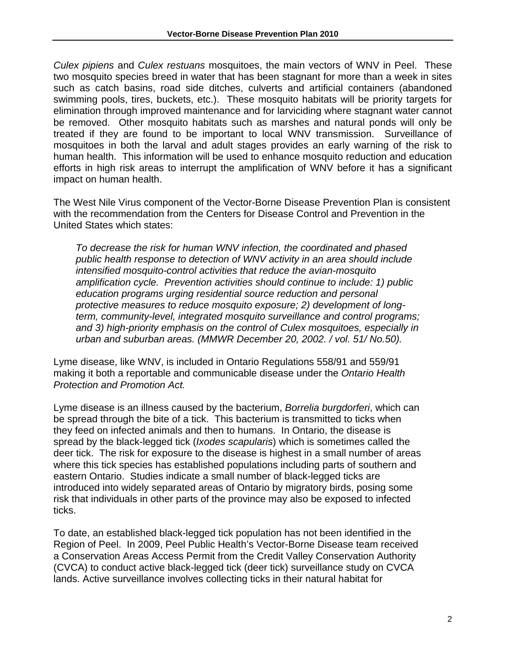*Culex pipiens* and *Culex restuans* mosquitoes, the main vectors of WNV in Peel. These two mosquito species breed in water that has been stagnant for more than a week in sites such as catch basins, road side ditches, culverts and artificial containers (abandoned swimming pools, tires, buckets, etc.). These mosquito habitats will be priority targets for elimination through improved maintenance and for larviciding where stagnant water cannot be removed. Other mosquito habitats such as marshes and natural ponds will only be treated if they are found to be important to local WNV transmission. Surveillance of mosquitoes in both the larval and adult stages provides an early warning of the risk to human health. This information will be used to enhance mosquito reduction and education efforts in high risk areas to interrupt the amplification of WNV before it has a significant impact on human health.

The West Nile Virus component of the Vector-Borne Disease Prevention Plan is consistent with the recommendation from the Centers for Disease Control and Prevention in the United States which states:

*To decrease the risk for human WNV infection, the coordinated and phased public health response to detection of WNV activity in an area should include intensified mosquito-control activities that reduce the avian-mosquito amplification cycle. Prevention activities should continue to include: 1) public education programs urging residential source reduction and personal protective measures to reduce mosquito exposure; 2) development of longterm, community-level, integrated mosquito surveillance and control programs; and 3) high-priority emphasis on the control of Culex mosquitoes, especially in urban and suburban areas. (MMWR December 20, 2002. / vol. 51/ No.50).* 

Lyme disease, like WNV, is included in Ontario Regulations 558/91 and 559/91 making it both a reportable and communicable disease under the *Ontario Health Protection and Promotion Act.* 

Lyme disease is an illness caused by the bacterium, *Borrelia burgdorferi*, which can be spread through the bite of a tick. This bacterium is transmitted to ticks when they feed on infected animals and then to humans. In Ontario, the disease is spread by the black-legged tick (*Ixodes scapularis*) which is sometimes called the deer tick. The risk for exposure to the disease is highest in a small number of areas where this tick species has established populations including parts of southern and eastern Ontario. Studies indicate a small number of black-legged ticks are introduced into widely separated areas of Ontario by migratory birds, posing some risk that individuals in other parts of the province may also be exposed to infected ticks.

To date, an established black-legged tick population has not been identified in the Region of Peel. In 2009, Peel Public Health's Vector-Borne Disease team received a Conservation Areas Access Permit from the Credit Valley Conservation Authority (CVCA) to conduct active black-legged tick (deer tick) surveillance study on CVCA lands. Active surveillance involves collecting ticks in their natural habitat for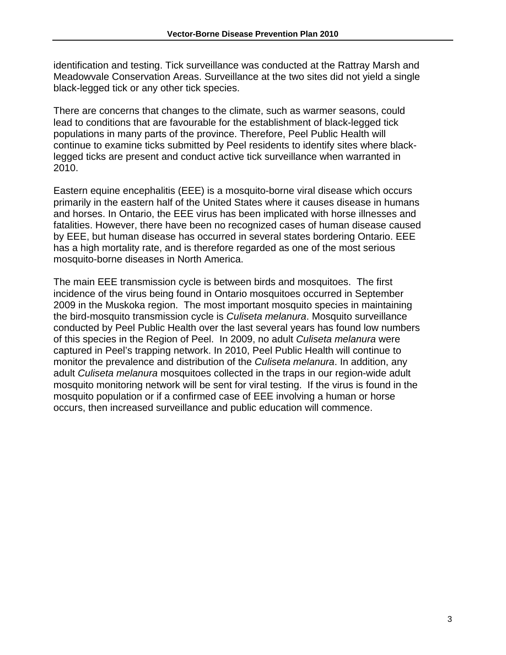identification and testing. Tick surveillance was conducted at the Rattray Marsh and Meadowvale Conservation Areas. Surveillance at the two sites did not yield a single black-legged tick or any other tick species.

There are concerns that changes to the climate, such as warmer seasons, could lead to conditions that are favourable for the establishment of black-legged tick populations in many parts of the province. Therefore, Peel Public Health will continue to examine ticks submitted by Peel residents to identify sites where blacklegged ticks are present and conduct active tick surveillance when warranted in 2010.

Eastern equine encephalitis (EEE) is a mosquito-borne viral disease which occurs primarily in the eastern half of the United States where it causes disease in humans and horses. In Ontario, the EEE virus has been implicated with horse illnesses and fatalities. However, there have been no recognized cases of human disease caused by EEE, but human disease has occurred in several states bordering Ontario. EEE has a high mortality rate, and is therefore regarded as one of the most serious mosquito-borne diseases in North America.

The main EEE transmission cycle is between birds and mosquitoes. The first incidence of the virus being found in Ontario mosquitoes occurred in September 2009 in the Muskoka region. The most important mosquito species in maintaining the bird-mosquito transmission cycle is *Culiseta melanura*. Mosquito surveillance conducted by Peel Public Health over the last several years has found low numbers of this species in the Region of Peel. In 2009, no adult *Culiseta melanura* were captured in Peel's trapping network. In 2010, Peel Public Health will continue to monitor the prevalence and distribution of the *Culiseta melanura*. In addition, any adult *Culiseta melanura* mosquitoes collected in the traps in our region-wide adult mosquito monitoring network will be sent for viral testing. If the virus is found in the mosquito population or if a confirmed case of EEE involving a human or horse occurs, then increased surveillance and public education will commence.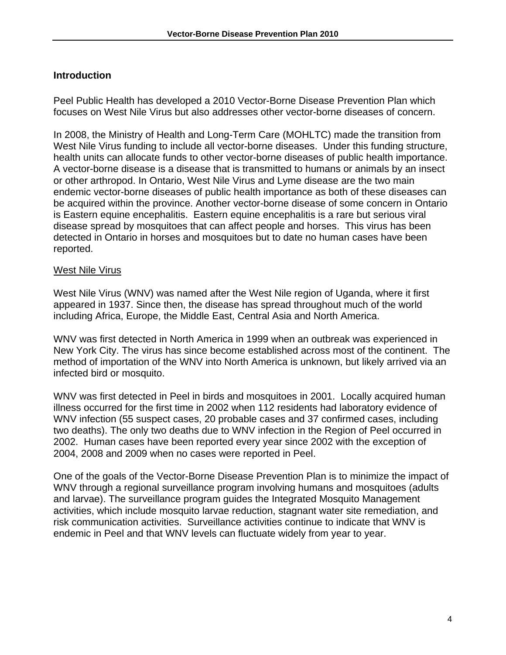# **Introduction**

Peel Public Health has developed a 2010 Vector-Borne Disease Prevention Plan which focuses on West Nile Virus but also addresses other vector-borne diseases of concern.

In 2008, the Ministry of Health and Long-Term Care (MOHLTC) made the transition from West Nile Virus funding to include all vector-borne diseases. Under this funding structure, health units can allocate funds to other vector-borne diseases of public health importance. A vector-borne disease is a disease that is transmitted to humans or animals by an insect or other arthropod. In Ontario, West Nile Virus and Lyme disease are the two main endemic vector-borne diseases of public health importance as both of these diseases can be acquired within the province. Another vector-borne disease of some concern in Ontario is Eastern equine encephalitis. Eastern equine encephalitis is a rare but serious viral disease spread by mosquitoes that can affect people and horses. This virus has been detected in Ontario in horses and mosquitoes but to date no human cases have been reported.

#### West Nile Virus

West Nile Virus (WNV) was named after the West Nile region of Uganda, where it first appeared in 1937. Since then, the disease has spread throughout much of the world including Africa, Europe, the Middle East, Central Asia and North America.

WNV was first detected in North America in 1999 when an outbreak was experienced in New York City. The virus has since become established across most of the continent. The method of importation of the WNV into North America is unknown, but likely arrived via an infected bird or mosquito.

WNV was first detected in Peel in birds and mosquitoes in 2001. Locally acquired human illness occurred for the first time in 2002 when 112 residents had laboratory evidence of WNV infection (55 suspect cases, 20 probable cases and 37 confirmed cases, including two deaths). The only two deaths due to WNV infection in the Region of Peel occurred in 2002. Human cases have been reported every year since 2002 with the exception of 2004, 2008 and 2009 when no cases were reported in Peel.

One of the goals of the Vector-Borne Disease Prevention Plan is to minimize the impact of WNV through a regional surveillance program involving humans and mosquitoes (adults and larvae). The surveillance program guides the Integrated Mosquito Management activities, which include mosquito larvae reduction, stagnant water site remediation, and risk communication activities. Surveillance activities continue to indicate that WNV is endemic in Peel and that WNV levels can fluctuate widely from year to year.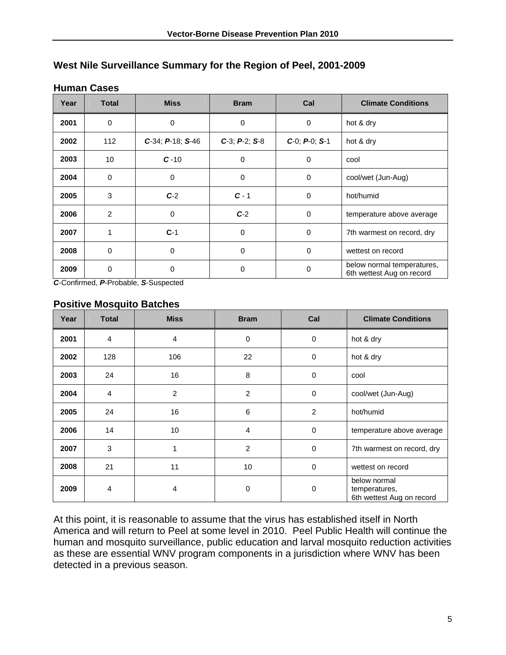| Year | <b>Total</b>   | <b>Miss</b>              | <b>Bram</b>           | Cal                   | <b>Climate Conditions</b>                               |
|------|----------------|--------------------------|-----------------------|-----------------------|---------------------------------------------------------|
| 2001 | $\mathbf 0$    | 0                        | $\mathbf 0$           | 0                     | hot & dry                                               |
| 2002 | 112            | $C-34$ ; $P-18$ ; $S-46$ | $C-3$ ; $P-2$ ; $S-8$ | $C-0$ ; $P-0$ ; $S-1$ | hot & dry                                               |
| 2003 | 10             | $C - 10$                 | 0                     | 0                     | cool                                                    |
| 2004 | 0              | 0                        | 0                     | 0                     | cool/wet (Jun-Aug)                                      |
| 2005 | 3              | $C-2$                    | $C - 1$               | 0                     | hot/humid                                               |
| 2006 | $\overline{2}$ | 0                        | $C-2$                 | 0                     | temperature above average                               |
| 2007 | 1              | $C-1$                    | $\Omega$              | 0                     | 7th warmest on record, dry                              |
| 2008 | $\mathbf 0$    | 0                        | 0                     | $\mathbf 0$           | wettest on record                                       |
| 2009 | $\mathbf 0$    | 0                        | 0                     | 0                     | below normal temperatures,<br>6th wettest Aug on record |

# **West Nile Surveillance Summary for the Region of Peel, 2001-2009**

#### **Human Cases**

*C*-Confirmed, *P*-Probable, *S*-Suspected

#### **Positive Mosquito Batches**

| Year | <b>Total</b>   | <b>Miss</b>    | <b>Bram</b>    | Cal            | <b>Climate Conditions</b>                                  |
|------|----------------|----------------|----------------|----------------|------------------------------------------------------------|
| 2001 | $\overline{4}$ | $\overline{4}$ | $\mathbf 0$    | $\mathbf 0$    | hot & dry                                                  |
| 2002 | 128            | 106            | 22             | $\mathbf 0$    | hot & dry                                                  |
| 2003 | 24             | 16             | 8              | 0              | cool                                                       |
| 2004 | $\overline{4}$ | $\overline{2}$ | 2              | $\mathbf 0$    | cool/wet (Jun-Aug)                                         |
| 2005 | 24             | 16             | 6              | $\overline{c}$ | hot/humid                                                  |
| 2006 | 14             | 10             | $\overline{4}$ | $\mathbf 0$    | temperature above average                                  |
| 2007 | 3              |                | 2              | $\mathbf 0$    | 7th warmest on record, dry                                 |
| 2008 | 21             | 11             | 10             | $\Omega$       | wettest on record                                          |
| 2009 | $\overline{4}$ | 4              | 0              | 0              | below normal<br>temperatures,<br>6th wettest Aug on record |

At this point, it is reasonable to assume that the virus has established itself in North America and will return to Peel at some level in 2010. Peel Public Health will continue the human and mosquito surveillance, public education and larval mosquito reduction activities as these are essential WNV program components in a jurisdiction where WNV has been detected in a previous season.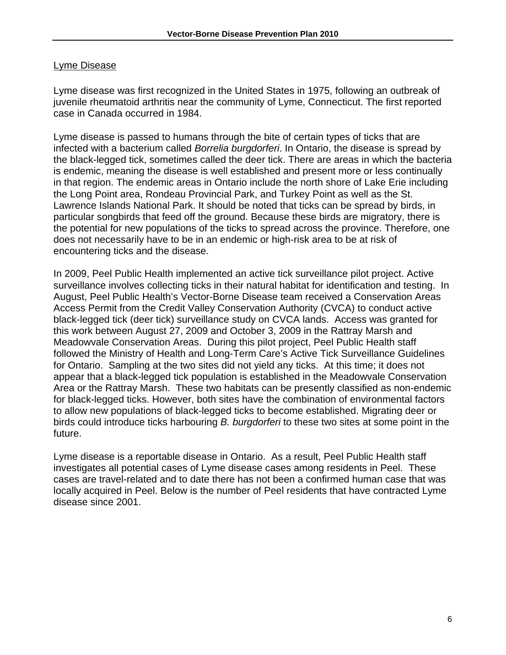#### Lyme Disease

Lyme disease was first recognized in the United States in 1975, following an outbreak of juvenile rheumatoid arthritis near the community of Lyme, Connecticut. The first reported case in Canada occurred in 1984.

Lyme disease is passed to humans through the bite of certain types of ticks that are infected with a bacterium called *Borrelia burgdorferi*. In Ontario, the disease is spread by the black-legged tick, sometimes called the deer tick. There are areas in which the bacteria is endemic, meaning the disease is well established and present more or less continually in that region. The endemic areas in Ontario include the north shore of Lake Erie including the Long Point area, Rondeau Provincial Park, and Turkey Point as well as the St. Lawrence Islands National Park. It should be noted that ticks can be spread by birds, in particular songbirds that feed off the ground. Because these birds are migratory, there is the potential for new populations of the ticks to spread across the province. Therefore, one does not necessarily have to be in an endemic or high-risk area to be at risk of encountering ticks and the disease.

In 2009, Peel Public Health implemented an active tick surveillance pilot project. Active surveillance involves collecting ticks in their natural habitat for identification and testing. In August, Peel Public Health's Vector-Borne Disease team received a Conservation Areas Access Permit from the Credit Valley Conservation Authority (CVCA) to conduct active black-legged tick (deer tick) surveillance study on CVCA lands. Access was granted for this work between August 27, 2009 and October 3, 2009 in the Rattray Marsh and Meadowvale Conservation Areas. During this pilot project, Peel Public Health staff followed the Ministry of Health and Long-Term Care's Active Tick Surveillance Guidelines for Ontario. Sampling at the two sites did not yield any ticks. At this time; it does not appear that a black-legged tick population is established in the Meadowvale Conservation Area or the Rattray Marsh. These two habitats can be presently classified as non-endemic for black-legged ticks. However, both sites have the combination of environmental factors to allow new populations of black-legged ticks to become established. Migrating deer or birds could introduce ticks harbouring *B. burgdorferi* to these two sites at some point in the future.

Lyme disease is a reportable disease in Ontario. As a result, Peel Public Health staff investigates all potential cases of Lyme disease cases among residents in Peel. These cases are travel-related and to date there has not been a confirmed human case that was locally acquired in Peel. Below is the number of Peel residents that have contracted Lyme disease since 2001.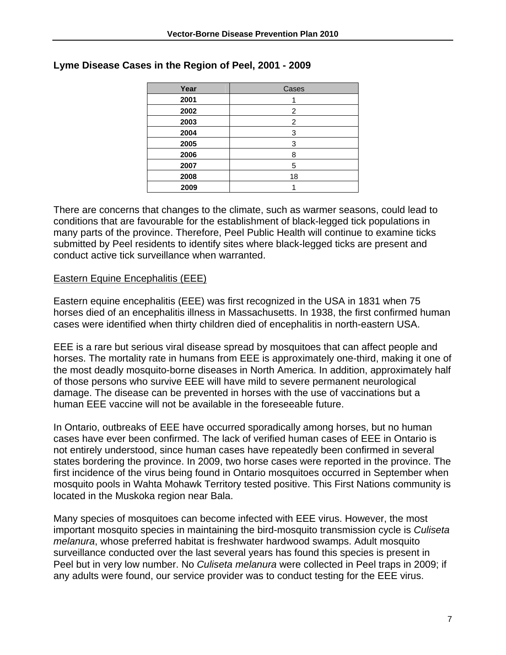| Year | Cases |
|------|-------|
| 2001 |       |
| 2002 | 2     |
| 2003 | 2     |
| 2004 | 3     |
| 2005 | 3     |
| 2006 | 8     |
| 2007 | 5     |
| 2008 | 18    |
| 2009 |       |

#### **Lyme Disease Cases in the Region of Peel, 2001 - 2009**

There are concerns that changes to the climate, such as warmer seasons, could lead to conditions that are favourable for the establishment of black-legged tick populations in many parts of the province. Therefore, Peel Public Health will continue to examine ticks submitted by Peel residents to identify sites where black-legged ticks are present and conduct active tick surveillance when warranted.

#### Eastern Equine Encephalitis (EEE)

Eastern equine encephalitis (EEE) was first recognized in the USA in 1831 when 75 horses died of an encephalitis illness in Massachusetts. In 1938, the first confirmed human cases were identified when thirty children died of encephalitis in north-eastern USA.

EEE is a rare but serious viral disease spread by mosquitoes that can affect people and horses. The mortality rate in humans from EEE is approximately one-third, making it one of the most deadly mosquito-borne diseases in North America. In addition, approximately half of those persons who survive EEE will have mild to severe permanent neurological damage. The disease can be prevented in horses with the use of vaccinations but a human EEE vaccine will not be available in the foreseeable future.

In Ontario, outbreaks of EEE have occurred sporadically among horses, but no human cases have ever been confirmed. The lack of verified human cases of EEE in Ontario is not entirely understood, since human cases have repeatedly been confirmed in several states bordering the province. In 2009, two horse cases were reported in the province. The first incidence of the virus being found in Ontario mosquitoes occurred in September when mosquito pools in Wahta Mohawk Territory tested positive. This First Nations community is located in the Muskoka region near Bala.

Many species of mosquitoes can become infected with EEE virus. However, the most important mosquito species in maintaining the bird-mosquito transmission cycle is *Culiseta melanura*, whose preferred habitat is freshwater hardwood swamps. Adult mosquito surveillance conducted over the last several years has found this species is present in Peel but in very low number. No *Culiseta melanura* were collected in Peel traps in 2009; if any adults were found, our service provider was to conduct testing for the EEE virus.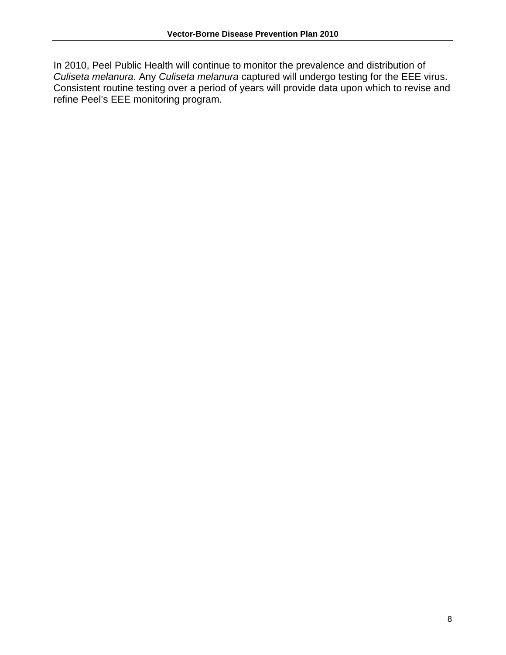In 2010, Peel Public Health will continue to monitor the prevalence and distribution of *Culiseta melanura*. Any *Culiseta melanura* captured will undergo testing for the EEE virus. Consistent routine testing over a period of years will provide data upon which to revise and refine Peel's EEE monitoring program.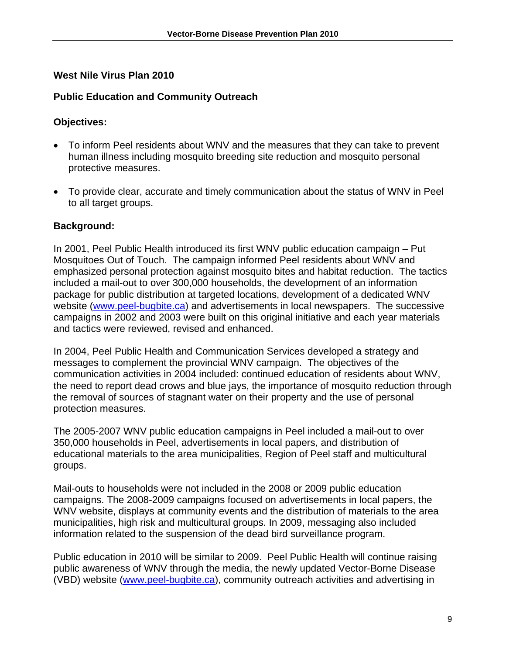# **West Nile Virus Plan 2010**

# **Public Education and Community Outreach**

# **Objectives:**

- To inform Peel residents about WNV and the measures that they can take to prevent human illness including mosquito breeding site reduction and mosquito personal protective measures.
- To provide clear, accurate and timely communication about the status of WNV in Peel to all target groups.

# **Background:**

In 2001, Peel Public Health introduced its first WNV public education campaign – Put Mosquitoes Out of Touch. The campaign informed Peel residents about WNV and emphasized personal protection against mosquito bites and habitat reduction. The tactics included a mail-out to over 300,000 households, the development of an information package for public distribution at targeted locations, development of a dedicated WNV website (www.peel-bugbite.ca) and advertisements in local newspapers. The successive campaigns in 2002 and 2003 were built on this original initiative and each year materials and tactics were reviewed, revised and enhanced.

In 2004, Peel Public Health and Communication Services developed a strategy and messages to complement the provincial WNV campaign. The objectives of the communication activities in 2004 included: continued education of residents about WNV, the need to report dead crows and blue jays, the importance of mosquito reduction through the removal of sources of stagnant water on their property and the use of personal protection measures.

The 2005-2007 WNV public education campaigns in Peel included a mail-out to over 350,000 households in Peel, advertisements in local papers, and distribution of educational materials to the area municipalities, Region of Peel staff and multicultural groups.

Mail-outs to households were not included in the 2008 or 2009 public education campaigns. The 2008-2009 campaigns focused on advertisements in local papers, the WNV website, displays at community events and the distribution of materials to the area municipalities, high risk and multicultural groups. In 2009, messaging also included information related to the suspension of the dead bird surveillance program.

Public education in 2010 will be similar to 2009. Peel Public Health will continue raising public awareness of WNV through the media, the newly updated Vector-Borne Disease (VBD) website (www.peel-bugbite.ca), community outreach activities and advertising in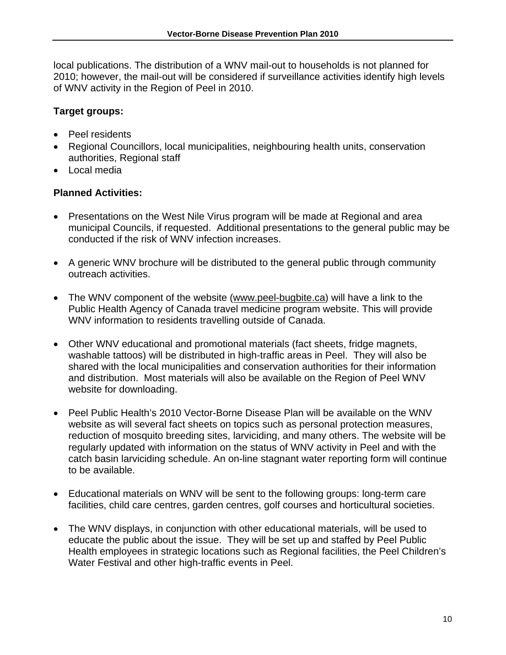local publications. The distribution of a WNV mail-out to households is not planned for 2010; however, the mail-out will be considered if surveillance activities identify high levels of WNV activity in the Region of Peel in 2010.

# **Target groups:**

- Peel residents
- Regional Councillors, local municipalities, neighbouring health units, conservation authorities, Regional staff
- Local media

- Presentations on the West Nile Virus program will be made at Regional and area municipal Councils, if requested. Additional presentations to the general public may be conducted if the risk of WNV infection increases.
- A generic WNV brochure will be distributed to the general public through community outreach activities.
- The WNV component of the website (www.peel-bugbite.ca) will have a link to the Public Health Agency of Canada travel medicine program website. This will provide WNV information to residents travelling outside of Canada.
- Other WNV educational and promotional materials (fact sheets, fridge magnets, washable tattoos) will be distributed in high-traffic areas in Peel. They will also be shared with the local municipalities and conservation authorities for their information and distribution. Most materials will also be available on the Region of Peel WNV website for downloading.
- Peel Public Health's 2010 Vector-Borne Disease Plan will be available on the WNV website as will several fact sheets on topics such as personal protection measures, reduction of mosquito breeding sites, larviciding, and many others. The website will be regularly updated with information on the status of WNV activity in Peel and with the catch basin larviciding schedule. An on-line stagnant water reporting form will continue to be available.
- Educational materials on WNV will be sent to the following groups: long-term care facilities, child care centres, garden centres, golf courses and horticultural societies.
- The WNV displays, in conjunction with other educational materials, will be used to educate the public about the issue. They will be set up and staffed by Peel Public Health employees in strategic locations such as Regional facilities, the Peel Children's Water Festival and other high-traffic events in Peel.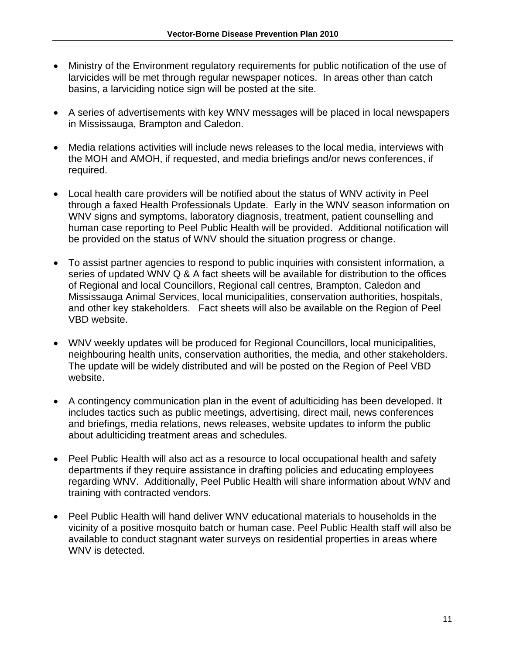- Ministry of the Environment regulatory requirements for public notification of the use of larvicides will be met through regular newspaper notices. In areas other than catch basins, a larviciding notice sign will be posted at the site.
- A series of advertisements with key WNV messages will be placed in local newspapers in Mississauga, Brampton and Caledon.
- Media relations activities will include news releases to the local media, interviews with the MOH and AMOH, if requested, and media briefings and/or news conferences, if required.
- Local health care providers will be notified about the status of WNV activity in Peel through a faxed Health Professionals Update. Early in the WNV season information on WNV signs and symptoms, laboratory diagnosis, treatment, patient counselling and human case reporting to Peel Public Health will be provided. Additional notification will be provided on the status of WNV should the situation progress or change.
- To assist partner agencies to respond to public inquiries with consistent information, a series of updated WNV Q & A fact sheets will be available for distribution to the offices of Regional and local Councillors, Regional call centres, Brampton, Caledon and Mississauga Animal Services, local municipalities, conservation authorities, hospitals, and other key stakeholders. Fact sheets will also be available on the Region of Peel VBD website.
- WNV weekly updates will be produced for Regional Councillors, local municipalities, neighbouring health units, conservation authorities, the media, and other stakeholders. The update will be widely distributed and will be posted on the Region of Peel VBD website.
- A contingency communication plan in the event of adulticiding has been developed. It includes tactics such as public meetings, advertising, direct mail, news conferences and briefings, media relations, news releases, website updates to inform the public about adulticiding treatment areas and schedules.
- Peel Public Health will also act as a resource to local occupational health and safety departments if they require assistance in drafting policies and educating employees regarding WNV. Additionally, Peel Public Health will share information about WNV and training with contracted vendors.
- Peel Public Health will hand deliver WNV educational materials to households in the vicinity of a positive mosquito batch or human case. Peel Public Health staff will also be available to conduct stagnant water surveys on residential properties in areas where WNV is detected.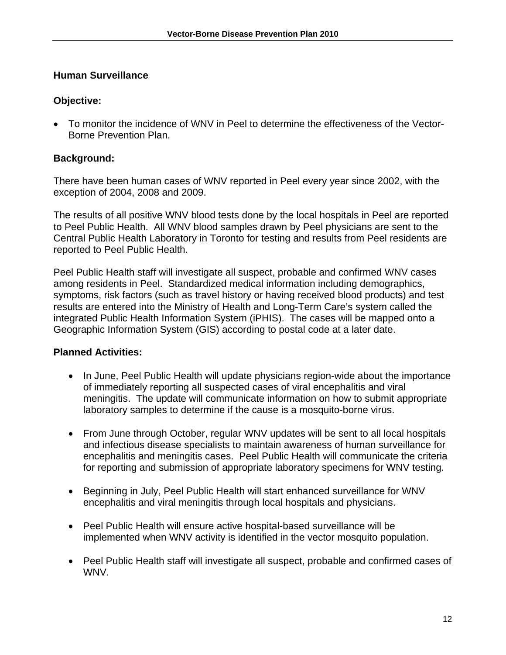## **Human Surveillance**

#### **Objective:**

• To monitor the incidence of WNV in Peel to determine the effectiveness of the Vector-Borne Prevention Plan.

## **Background:**

There have been human cases of WNV reported in Peel every year since 2002, with the exception of 2004, 2008 and 2009.

The results of all positive WNV blood tests done by the local hospitals in Peel are reported to Peel Public Health. All WNV blood samples drawn by Peel physicians are sent to the Central Public Health Laboratory in Toronto for testing and results from Peel residents are reported to Peel Public Health.

Peel Public Health staff will investigate all suspect, probable and confirmed WNV cases among residents in Peel. Standardized medical information including demographics, symptoms, risk factors (such as travel history or having received blood products) and test results are entered into the Ministry of Health and Long-Term Care's system called the integrated Public Health Information System (iPHIS). The cases will be mapped onto a Geographic Information System (GIS) according to postal code at a later date.

- In June, Peel Public Health will update physicians region-wide about the importance of immediately reporting all suspected cases of viral encephalitis and viral meningitis. The update will communicate information on how to submit appropriate laboratory samples to determine if the cause is a mosquito-borne virus.
- From June through October, regular WNV updates will be sent to all local hospitals and infectious disease specialists to maintain awareness of human surveillance for encephalitis and meningitis cases. Peel Public Health will communicate the criteria for reporting and submission of appropriate laboratory specimens for WNV testing.
- Beginning in July, Peel Public Health will start enhanced surveillance for WNV encephalitis and viral meningitis through local hospitals and physicians.
- Peel Public Health will ensure active hospital-based surveillance will be implemented when WNV activity is identified in the vector mosquito population.
- Peel Public Health staff will investigate all suspect, probable and confirmed cases of WNV.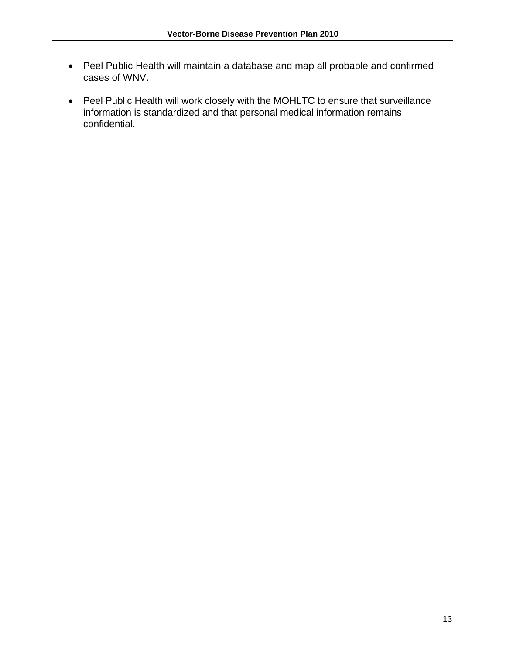- Peel Public Health will maintain a database and map all probable and confirmed cases of WNV.
- Peel Public Health will work closely with the MOHLTC to ensure that surveillance information is standardized and that personal medical information remains confidential.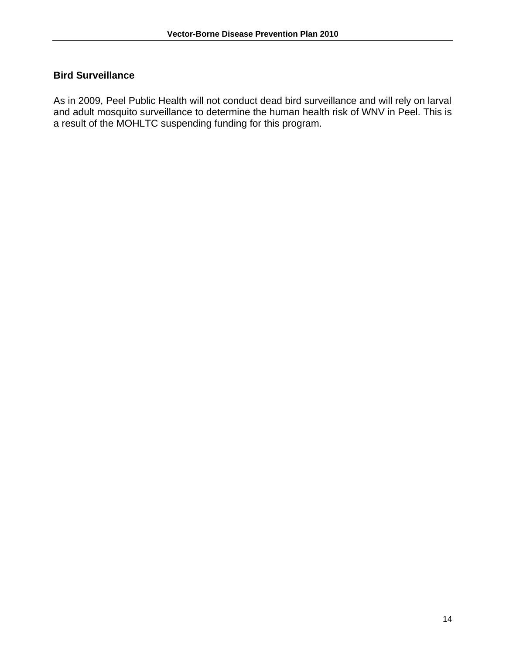# **Bird Surveillance**

As in 2009, Peel Public Health will not conduct dead bird surveillance and will rely on larval and adult mosquito surveillance to determine the human health risk of WNV in Peel. This is a result of the MOHLTC suspending funding for this program.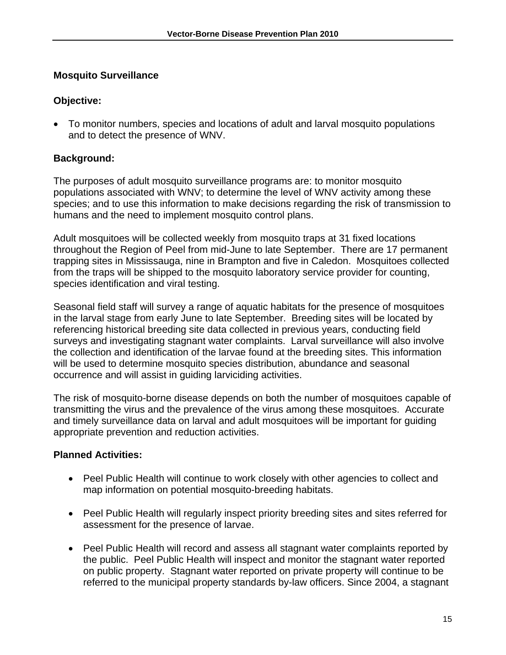# **Mosquito Surveillance**

# **Objective:**

• To monitor numbers, species and locations of adult and larval mosquito populations and to detect the presence of WNV.

# **Background:**

The purposes of adult mosquito surveillance programs are: to monitor mosquito populations associated with WNV; to determine the level of WNV activity among these species; and to use this information to make decisions regarding the risk of transmission to humans and the need to implement mosquito control plans.

Adult mosquitoes will be collected weekly from mosquito traps at 31 fixed locations throughout the Region of Peel from mid-June to late September. There are 17 permanent trapping sites in Mississauga, nine in Brampton and five in Caledon. Mosquitoes collected from the traps will be shipped to the mosquito laboratory service provider for counting, species identification and viral testing.

Seasonal field staff will survey a range of aquatic habitats for the presence of mosquitoes in the larval stage from early June to late September. Breeding sites will be located by referencing historical breeding site data collected in previous years, conducting field surveys and investigating stagnant water complaints. Larval surveillance will also involve the collection and identification of the larvae found at the breeding sites. This information will be used to determine mosquito species distribution, abundance and seasonal occurrence and will assist in guiding larviciding activities.

The risk of mosquito-borne disease depends on both the number of mosquitoes capable of transmitting the virus and the prevalence of the virus among these mosquitoes. Accurate and timely surveillance data on larval and adult mosquitoes will be important for guiding appropriate prevention and reduction activities.

- Peel Public Health will continue to work closely with other agencies to collect and map information on potential mosquito-breeding habitats.
- Peel Public Health will regularly inspect priority breeding sites and sites referred for assessment for the presence of larvae.
- Peel Public Health will record and assess all stagnant water complaints reported by the public. Peel Public Health will inspect and monitor the stagnant water reported on public property. Stagnant water reported on private property will continue to be referred to the municipal property standards by-law officers. Since 2004, a stagnant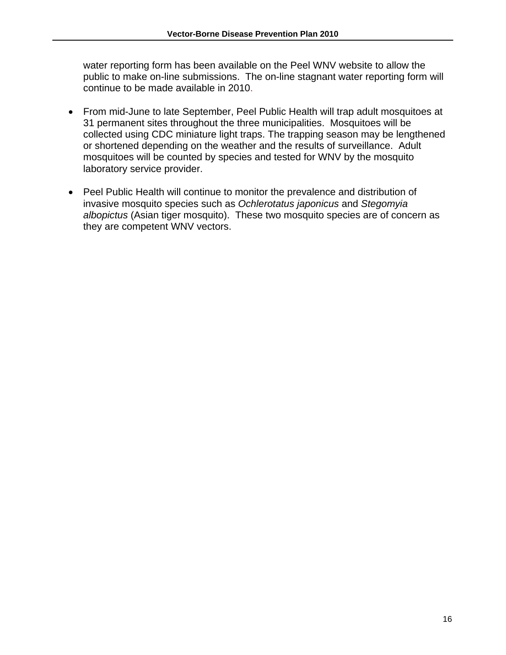water reporting form has been available on the Peel WNV website to allow the public to make on-line submissions. The on-line stagnant water reporting form will continue to be made available in 2010.

- From mid-June to late September, Peel Public Health will trap adult mosquitoes at 31 permanent sites throughout the three municipalities. Mosquitoes will be collected using CDC miniature light traps. The trapping season may be lengthened or shortened depending on the weather and the results of surveillance. Adult mosquitoes will be counted by species and tested for WNV by the mosquito laboratory service provider.
- Peel Public Health will continue to monitor the prevalence and distribution of invasive mosquito species such as *Ochlerotatus japonicus* and *Stegomyia albopictus* (Asian tiger mosquito). These two mosquito species are of concern as they are competent WNV vectors.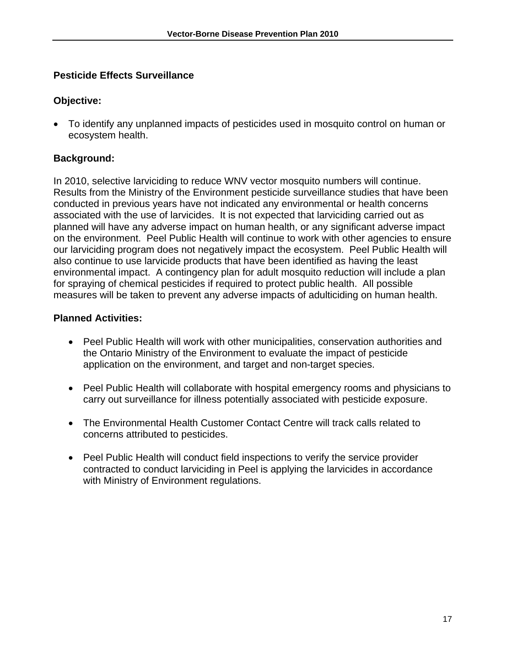# **Pesticide Effects Surveillance**

## **Objective:**

• To identify any unplanned impacts of pesticides used in mosquito control on human or ecosystem health.

# **Background:**

In 2010, selective larviciding to reduce WNV vector mosquito numbers will continue. Results from the Ministry of the Environment pesticide surveillance studies that have been conducted in previous years have not indicated any environmental or health concerns associated with the use of larvicides. It is not expected that larviciding carried out as planned will have any adverse impact on human health, or any significant adverse impact on the environment. Peel Public Health will continue to work with other agencies to ensure our larviciding program does not negatively impact the ecosystem. Peel Public Health will also continue to use larvicide products that have been identified as having the least environmental impact. A contingency plan for adult mosquito reduction will include a plan for spraying of chemical pesticides if required to protect public health. All possible measures will be taken to prevent any adverse impacts of adulticiding on human health.

- Peel Public Health will work with other municipalities, conservation authorities and the Ontario Ministry of the Environment to evaluate the impact of pesticide application on the environment, and target and non-target species.
- Peel Public Health will collaborate with hospital emergency rooms and physicians to carry out surveillance for illness potentially associated with pesticide exposure.
- The Environmental Health Customer Contact Centre will track calls related to concerns attributed to pesticides.
- Peel Public Health will conduct field inspections to verify the service provider contracted to conduct larviciding in Peel is applying the larvicides in accordance with Ministry of Environment regulations.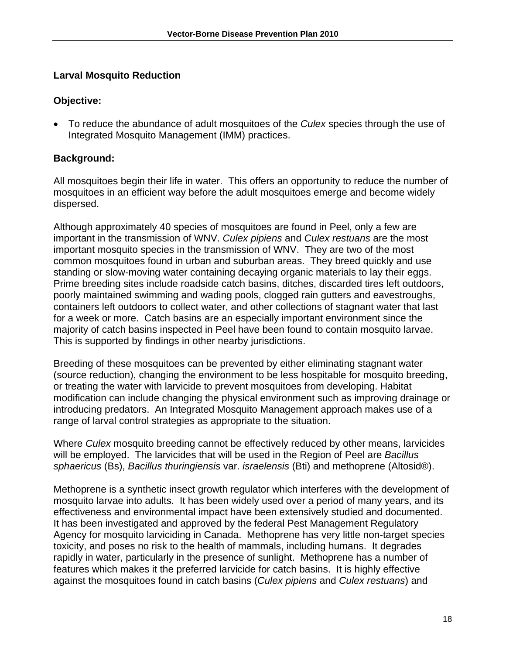# **Larval Mosquito Reduction**

## **Objective:**

• To reduce the abundance of adult mosquitoes of the *Culex* species through the use of Integrated Mosquito Management (IMM) practices.

# **Background:**

All mosquitoes begin their life in water. This offers an opportunity to reduce the number of mosquitoes in an efficient way before the adult mosquitoes emerge and become widely dispersed.

Although approximately 40 species of mosquitoes are found in Peel, only a few are important in the transmission of WNV. *Culex pipiens* and *Culex restuans* are the most important mosquito species in the transmission of WNV. They are two of the most common mosquitoes found in urban and suburban areas. They breed quickly and use standing or slow-moving water containing decaying organic materials to lay their eggs. Prime breeding sites include roadside catch basins, ditches, discarded tires left outdoors, poorly maintained swimming and wading pools, clogged rain gutters and eavestroughs, containers left outdoors to collect water, and other collections of stagnant water that last for a week or more. Catch basins are an especially important environment since the majority of catch basins inspected in Peel have been found to contain mosquito larvae. This is supported by findings in other nearby jurisdictions.

Breeding of these mosquitoes can be prevented by either eliminating stagnant water (source reduction), changing the environment to be less hospitable for mosquito breeding, or treating the water with larvicide to prevent mosquitoes from developing. Habitat modification can include changing the physical environment such as improving drainage or introducing predators. An Integrated Mosquito Management approach makes use of a range of larval control strategies as appropriate to the situation.

Where *Culex* mosquito breeding cannot be effectively reduced by other means, larvicides will be employed. The larvicides that will be used in the Region of Peel are *Bacillus sphaericus* (Bs), *Bacillus thuringiensis* var. *israelensis* (Bti) and methoprene (Altosid®).

Methoprene is a synthetic insect growth regulator which interferes with the development of mosquito larvae into adults. It has been widely used over a period of many years, and its effectiveness and environmental impact have been extensively studied and documented. It has been investigated and approved by the federal Pest Management Regulatory Agency for mosquito larviciding in Canada. Methoprene has very little non-target species toxicity, and poses no risk to the health of mammals, including humans. It degrades rapidly in water, particularly in the presence of sunlight. Methoprene has a number of features which makes it the preferred larvicide for catch basins. It is highly effective against the mosquitoes found in catch basins (*Culex pipiens* and *Culex restuans*) and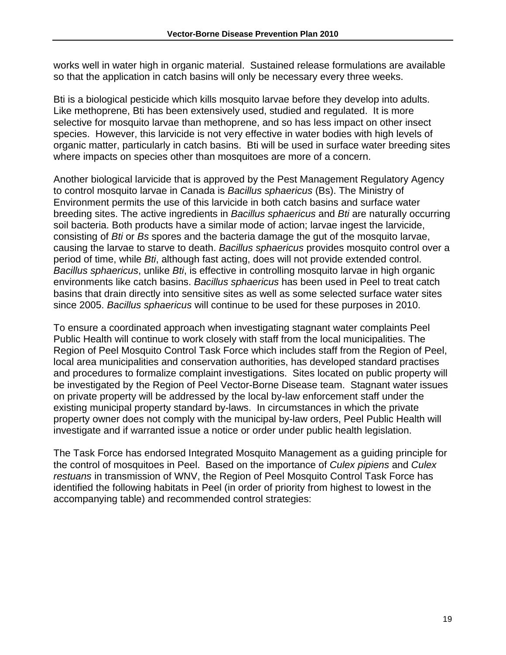works well in water high in organic material. Sustained release formulations are available so that the application in catch basins will only be necessary every three weeks.

Bti is a biological pesticide which kills mosquito larvae before they develop into adults. Like methoprene, Bti has been extensively used, studied and regulated. It is more selective for mosquito larvae than methoprene, and so has less impact on other insect species. However, this larvicide is not very effective in water bodies with high levels of organic matter, particularly in catch basins. Bti will be used in surface water breeding sites where impacts on species other than mosquitoes are more of a concern.

Another biological larvicide that is approved by the Pest Management Regulatory Agency to control mosquito larvae in Canada is *Bacillus sphaericus* (Bs). The Ministry of Environment permits the use of this larvicide in both catch basins and surface water breeding sites. The active ingredients in *Bacillus sphaericus* and *Bti* are naturally occurring soil bacteria. Both products have a similar mode of action; larvae ingest the larvicide, consisting of *Bti* or *Bs* spores and the bacteria damage the gut of the mosquito larvae, causing the larvae to starve to death. *Bacillus sphaericus* provides mosquito control over a period of time, while *Bti*, although fast acting, does will not provide extended control. *Bacillus sphaericus*, unlike *Bti*, is effective in controlling mosquito larvae in high organic environments like catch basins. *Bacillus sphaericus* has been used in Peel to treat catch basins that drain directly into sensitive sites as well as some selected surface water sites since 2005. *Bacillus sphaericus* will continue to be used for these purposes in 2010.

To ensure a coordinated approach when investigating stagnant water complaints Peel Public Health will continue to work closely with staff from the local municipalities. The Region of Peel Mosquito Control Task Force which includes staff from the Region of Peel, local area municipalities and conservation authorities, has developed standard practises and procedures to formalize complaint investigations. Sites located on public property will be investigated by the Region of Peel Vector-Borne Disease team. Stagnant water issues on private property will be addressed by the local by-law enforcement staff under the existing municipal property standard by-laws. In circumstances in which the private property owner does not comply with the municipal by-law orders, Peel Public Health will investigate and if warranted issue a notice or order under public health legislation.

The Task Force has endorsed Integrated Mosquito Management as a guiding principle for the control of mosquitoes in Peel. Based on the importance of *Culex pipiens* and *Culex restuans* in transmission of WNV, the Region of Peel Mosquito Control Task Force has identified the following habitats in Peel (in order of priority from highest to lowest in the accompanying table) and recommended control strategies: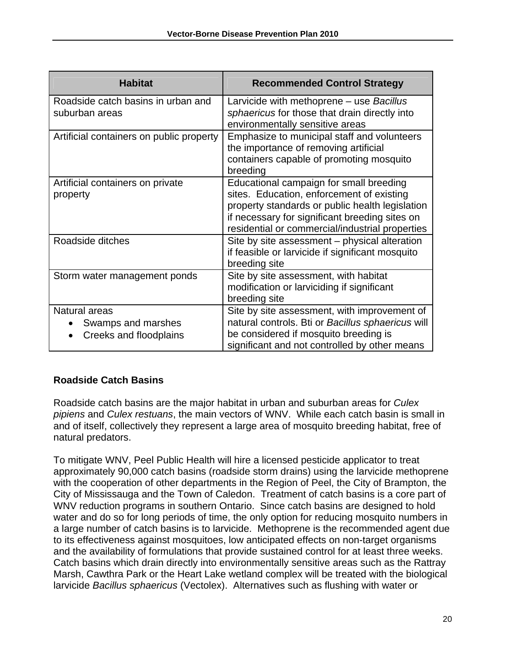| <b>Habitat</b>                                                             | <b>Recommended Control Strategy</b>                                                                                                                                                                                                          |
|----------------------------------------------------------------------------|----------------------------------------------------------------------------------------------------------------------------------------------------------------------------------------------------------------------------------------------|
| Roadside catch basins in urban and<br>suburban areas                       | Larvicide with methoprene – use Bacillus<br>sphaericus for those that drain directly into<br>environmentally sensitive areas                                                                                                                 |
| Artificial containers on public property                                   | Emphasize to municipal staff and volunteers<br>the importance of removing artificial<br>containers capable of promoting mosquito<br>breeding                                                                                                 |
| Artificial containers on private<br>property                               | Educational campaign for small breeding<br>sites. Education, enforcement of existing<br>property standards or public health legislation<br>if necessary for significant breeding sites on<br>residential or commercial/industrial properties |
| Roadside ditches                                                           | Site by site assessment - physical alteration<br>if feasible or larvicide if significant mosquito<br>breeding site                                                                                                                           |
| Storm water management ponds                                               | Site by site assessment, with habitat<br>modification or larviciding if significant<br>breeding site                                                                                                                                         |
| Natural areas<br>Swamps and marshes<br>$\bullet$<br>Creeks and floodplains | Site by site assessment, with improvement of<br>natural controls. Bti or Bacillus sphaericus will<br>be considered if mosquito breeding is<br>significant and not controlled by other means                                                  |

# **Roadside Catch Basins**

Roadside catch basins are the major habitat in urban and suburban areas for *Culex pipiens* and *Culex restuans*, the main vectors of WNV. While each catch basin is small in and of itself, collectively they represent a large area of mosquito breeding habitat, free of natural predators.

To mitigate WNV, Peel Public Health will hire a licensed pesticide applicator to treat approximately 90,000 catch basins (roadside storm drains) using the larvicide methoprene with the cooperation of other departments in the Region of Peel, the City of Brampton, the City of Mississauga and the Town of Caledon. Treatment of catch basins is a core part of WNV reduction programs in southern Ontario. Since catch basins are designed to hold water and do so for long periods of time, the only option for reducing mosquito numbers in a large number of catch basins is to larvicide. Methoprene is the recommended agent due to its effectiveness against mosquitoes, low anticipated effects on non-target organisms and the availability of formulations that provide sustained control for at least three weeks. Catch basins which drain directly into environmentally sensitive areas such as the Rattray Marsh, Cawthra Park or the Heart Lake wetland complex will be treated with the biological larvicide *Bacillus sphaericus* (Vectolex). Alternatives such as flushing with water or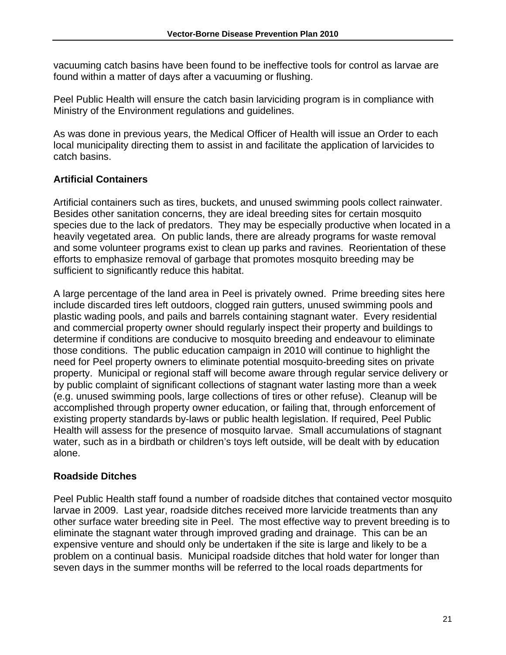vacuuming catch basins have been found to be ineffective tools for control as larvae are found within a matter of days after a vacuuming or flushing.

Peel Public Health will ensure the catch basin larviciding program is in compliance with Ministry of the Environment regulations and guidelines.

As was done in previous years, the Medical Officer of Health will issue an Order to each local municipality directing them to assist in and facilitate the application of larvicides to catch basins.

# **Artificial Containers**

Artificial containers such as tires, buckets, and unused swimming pools collect rainwater. Besides other sanitation concerns, they are ideal breeding sites for certain mosquito species due to the lack of predators. They may be especially productive when located in a heavily vegetated area. On public lands, there are already programs for waste removal and some volunteer programs exist to clean up parks and ravines. Reorientation of these efforts to emphasize removal of garbage that promotes mosquito breeding may be sufficient to significantly reduce this habitat.

A large percentage of the land area in Peel is privately owned. Prime breeding sites here include discarded tires left outdoors, clogged rain gutters, unused swimming pools and plastic wading pools, and pails and barrels containing stagnant water. Every residential and commercial property owner should regularly inspect their property and buildings to determine if conditions are conducive to mosquito breeding and endeavour to eliminate those conditions. The public education campaign in 2010 will continue to highlight the need for Peel property owners to eliminate potential mosquito-breeding sites on private property. Municipal or regional staff will become aware through regular service delivery or by public complaint of significant collections of stagnant water lasting more than a week (e.g. unused swimming pools, large collections of tires or other refuse). Cleanup will be accomplished through property owner education, or failing that, through enforcement of existing property standards by-laws or public health legislation. If required, Peel Public Health will assess for the presence of mosquito larvae. Small accumulations of stagnant water, such as in a birdbath or children's toys left outside, will be dealt with by education alone.

# **Roadside Ditches**

Peel Public Health staff found a number of roadside ditches that contained vector mosquito larvae in 2009. Last year, roadside ditches received more larvicide treatments than any other surface water breeding site in Peel. The most effective way to prevent breeding is to eliminate the stagnant water through improved grading and drainage. This can be an expensive venture and should only be undertaken if the site is large and likely to be a problem on a continual basis. Municipal roadside ditches that hold water for longer than seven days in the summer months will be referred to the local roads departments for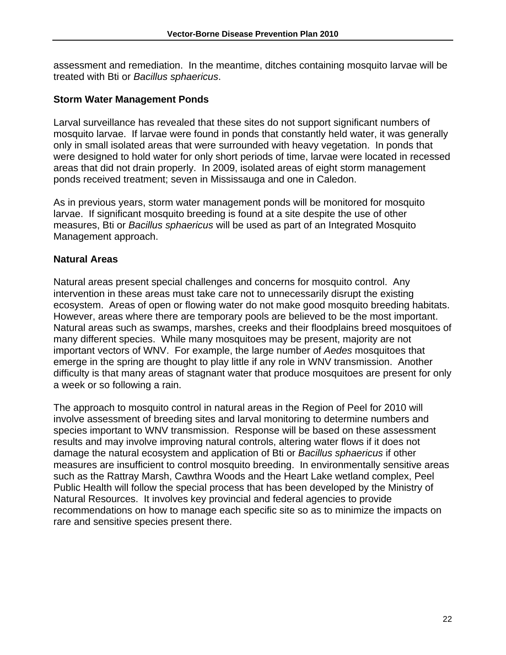assessment and remediation. In the meantime, ditches containing mosquito larvae will be treated with Bti or *Bacillus sphaericus*.

#### **Storm Water Management Ponds**

Larval surveillance has revealed that these sites do not support significant numbers of mosquito larvae. If larvae were found in ponds that constantly held water, it was generally only in small isolated areas that were surrounded with heavy vegetation. In ponds that were designed to hold water for only short periods of time, larvae were located in recessed areas that did not drain properly. In 2009, isolated areas of eight storm management ponds received treatment; seven in Mississauga and one in Caledon.

As in previous years, storm water management ponds will be monitored for mosquito larvae. If significant mosquito breeding is found at a site despite the use of other measures, Bti or *Bacillus sphaericus* will be used as part of an Integrated Mosquito Management approach.

## **Natural Areas**

Natural areas present special challenges and concerns for mosquito control. Any intervention in these areas must take care not to unnecessarily disrupt the existing ecosystem. Areas of open or flowing water do not make good mosquito breeding habitats. However, areas where there are temporary pools are believed to be the most important. Natural areas such as swamps, marshes, creeks and their floodplains breed mosquitoes of many different species. While many mosquitoes may be present, majority are not important vectors of WNV. For example, the large number of *Aedes* mosquitoes that emerge in the spring are thought to play little if any role in WNV transmission. Another difficulty is that many areas of stagnant water that produce mosquitoes are present for only a week or so following a rain.

The approach to mosquito control in natural areas in the Region of Peel for 2010 will involve assessment of breeding sites and larval monitoring to determine numbers and species important to WNV transmission. Response will be based on these assessment results and may involve improving natural controls, altering water flows if it does not damage the natural ecosystem and application of Bti or *Bacillus sphaericus* if other measures are insufficient to control mosquito breeding. In environmentally sensitive areas such as the Rattray Marsh, Cawthra Woods and the Heart Lake wetland complex, Peel Public Health will follow the special process that has been developed by the Ministry of Natural Resources. It involves key provincial and federal agencies to provide recommendations on how to manage each specific site so as to minimize the impacts on rare and sensitive species present there.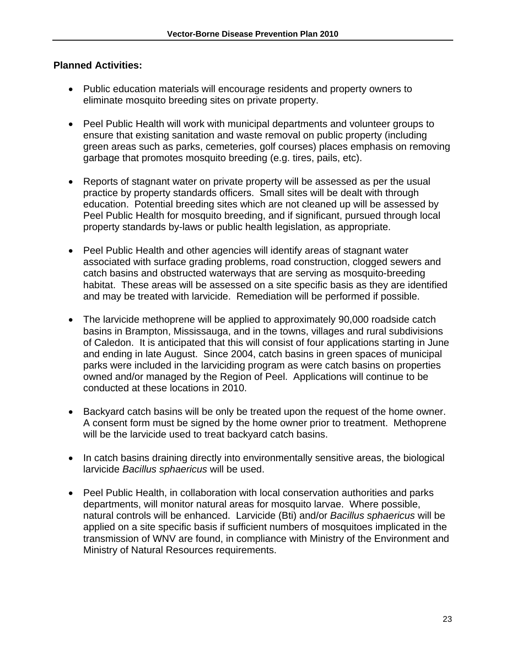- Public education materials will encourage residents and property owners to eliminate mosquito breeding sites on private property.
- Peel Public Health will work with municipal departments and volunteer groups to ensure that existing sanitation and waste removal on public property (including green areas such as parks, cemeteries, golf courses) places emphasis on removing garbage that promotes mosquito breeding (e.g. tires, pails, etc).
- Reports of stagnant water on private property will be assessed as per the usual practice by property standards officers. Small sites will be dealt with through education. Potential breeding sites which are not cleaned up will be assessed by Peel Public Health for mosquito breeding, and if significant, pursued through local property standards by-laws or public health legislation, as appropriate.
- Peel Public Health and other agencies will identify areas of stagnant water associated with surface grading problems, road construction, clogged sewers and catch basins and obstructed waterways that are serving as mosquito-breeding habitat. These areas will be assessed on a site specific basis as they are identified and may be treated with larvicide. Remediation will be performed if possible.
- The larvicide methoprene will be applied to approximately 90,000 roadside catch basins in Brampton, Mississauga, and in the towns, villages and rural subdivisions of Caledon. It is anticipated that this will consist of four applications starting in June and ending in late August. Since 2004, catch basins in green spaces of municipal parks were included in the larviciding program as were catch basins on properties owned and/or managed by the Region of Peel. Applications will continue to be conducted at these locations in 2010.
- Backyard catch basins will be only be treated upon the request of the home owner. A consent form must be signed by the home owner prior to treatment. Methoprene will be the larvicide used to treat backyard catch basins.
- In catch basins draining directly into environmentally sensitive areas, the biological larvicide *Bacillus sphaericus* will be used.
- Peel Public Health, in collaboration with local conservation authorities and parks departments, will monitor natural areas for mosquito larvae. Where possible, natural controls will be enhanced. Larvicide (Bti) and/or *Bacillus sphaericus* will be applied on a site specific basis if sufficient numbers of mosquitoes implicated in the transmission of WNV are found, in compliance with Ministry of the Environment and Ministry of Natural Resources requirements.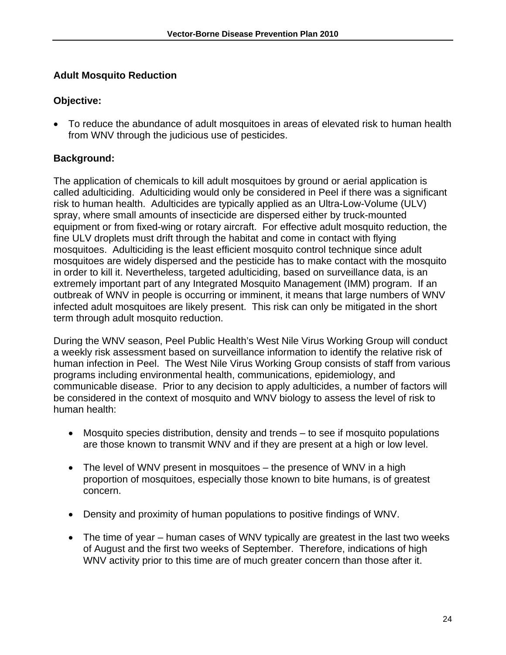# **Adult Mosquito Reduction**

# **Objective:**

• To reduce the abundance of adult mosquitoes in areas of elevated risk to human health from WNV through the judicious use of pesticides.

# **Background:**

The application of chemicals to kill adult mosquitoes by ground or aerial application is called adulticiding. Adulticiding would only be considered in Peel if there was a significant risk to human health. Adulticides are typically applied as an Ultra-Low-Volume (ULV) spray, where small amounts of insecticide are dispersed either by truck-mounted equipment or from fixed-wing or rotary aircraft. For effective adult mosquito reduction, the fine ULV droplets must drift through the habitat and come in contact with flying mosquitoes. Adulticiding is the least efficient mosquito control technique since adult mosquitoes are widely dispersed and the pesticide has to make contact with the mosquito in order to kill it. Nevertheless, targeted adulticiding, based on surveillance data, is an extremely important part of any Integrated Mosquito Management (IMM) program. If an outbreak of WNV in people is occurring or imminent, it means that large numbers of WNV infected adult mosquitoes are likely present. This risk can only be mitigated in the short term through adult mosquito reduction.

During the WNV season, Peel Public Health's West Nile Virus Working Group will conduct a weekly risk assessment based on surveillance information to identify the relative risk of human infection in Peel. The West Nile Virus Working Group consists of staff from various programs including environmental health, communications, epidemiology, and communicable disease. Prior to any decision to apply adulticides, a number of factors will be considered in the context of mosquito and WNV biology to assess the level of risk to human health:

- Mosquito species distribution, density and trends to see if mosquito populations are those known to transmit WNV and if they are present at a high or low level.
- The level of WNV present in mosquitoes the presence of WNV in a high proportion of mosquitoes, especially those known to bite humans, is of greatest concern.
- Density and proximity of human populations to positive findings of WNV.
- The time of year human cases of WNV typically are greatest in the last two weeks of August and the first two weeks of September. Therefore, indications of high WNV activity prior to this time are of much greater concern than those after it.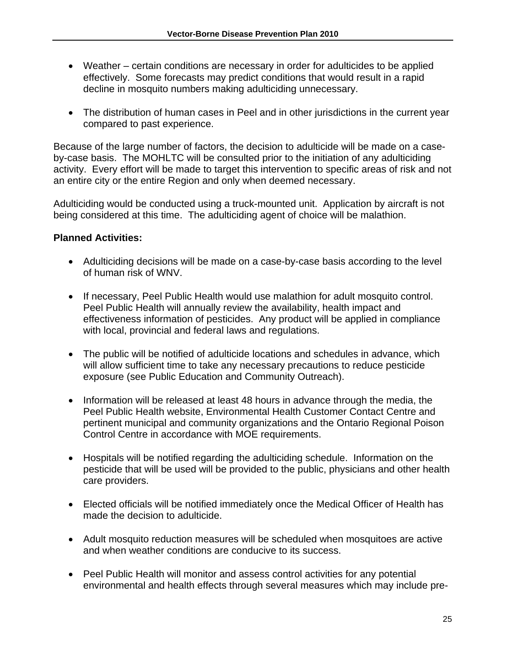- Weather certain conditions are necessary in order for adulticides to be applied effectively. Some forecasts may predict conditions that would result in a rapid decline in mosquito numbers making adulticiding unnecessary.
- The distribution of human cases in Peel and in other jurisdictions in the current year compared to past experience.

Because of the large number of factors, the decision to adulticide will be made on a caseby-case basis. The MOHLTC will be consulted prior to the initiation of any adulticiding activity. Every effort will be made to target this intervention to specific areas of risk and not an entire city or the entire Region and only when deemed necessary.

Adulticiding would be conducted using a truck-mounted unit. Application by aircraft is not being considered at this time. The adulticiding agent of choice will be malathion.

- Adulticiding decisions will be made on a case-by-case basis according to the level of human risk of WNV.
- If necessary, Peel Public Health would use malathion for adult mosquito control. Peel Public Health will annually review the availability, health impact and effectiveness information of pesticides. Any product will be applied in compliance with local, provincial and federal laws and regulations.
- The public will be notified of adulticide locations and schedules in advance, which will allow sufficient time to take any necessary precautions to reduce pesticide exposure (see Public Education and Community Outreach).
- Information will be released at least 48 hours in advance through the media, the Peel Public Health website, Environmental Health Customer Contact Centre and pertinent municipal and community organizations and the Ontario Regional Poison Control Centre in accordance with MOE requirements.
- Hospitals will be notified regarding the adulticiding schedule. Information on the pesticide that will be used will be provided to the public, physicians and other health care providers.
- Elected officials will be notified immediately once the Medical Officer of Health has made the decision to adulticide.
- Adult mosquito reduction measures will be scheduled when mosquitoes are active and when weather conditions are conducive to its success.
- Peel Public Health will monitor and assess control activities for any potential environmental and health effects through several measures which may include pre-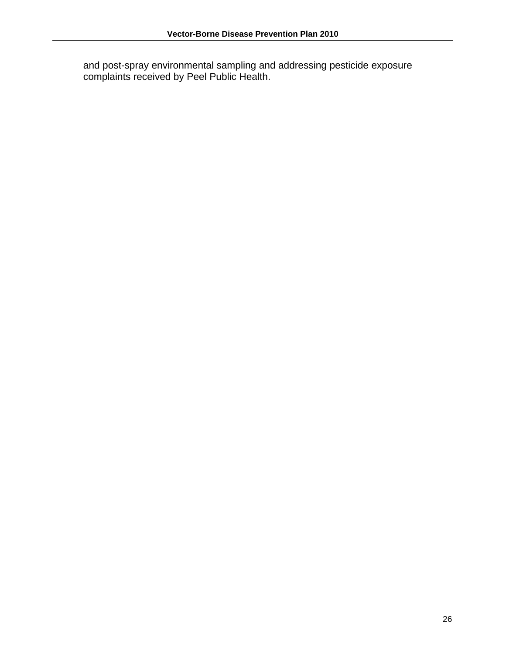and post-spray environmental sampling and addressing pesticide exposure complaints received by Peel Public Health.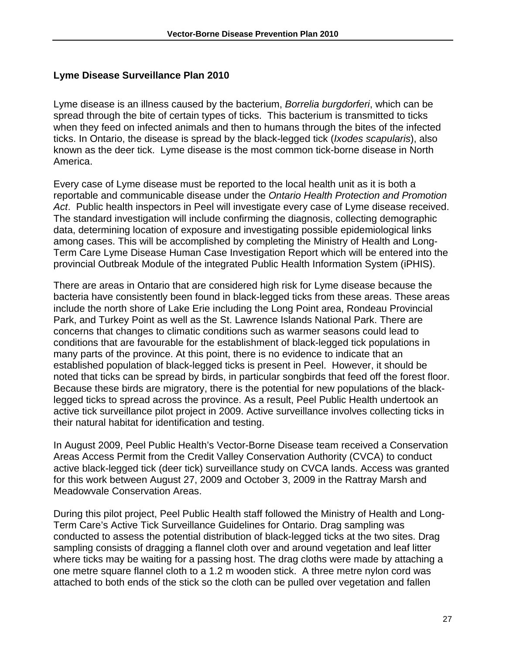#### **Lyme Disease Surveillance Plan 2010**

Lyme disease is an illness caused by the bacterium, *Borrelia burgdorferi*, which can be spread through the bite of certain types of ticks. This bacterium is transmitted to ticks when they feed on infected animals and then to humans through the bites of the infected ticks. In Ontario, the disease is spread by the black-legged tick (*Ixodes scapularis*), also known as the deer tick. Lyme disease is the most common tick-borne disease in North America.

Every case of Lyme disease must be reported to the local health unit as it is both a reportable and communicable disease under the *Ontario Health Protection and Promotion Act*. Public health inspectors in Peel will investigate every case of Lyme disease received. The standard investigation will include confirming the diagnosis, collecting demographic data, determining location of exposure and investigating possible epidemiological links among cases. This will be accomplished by completing the Ministry of Health and Long-Term Care Lyme Disease Human Case Investigation Report which will be entered into the provincial Outbreak Module of the integrated Public Health Information System (iPHIS).

There are areas in Ontario that are considered high risk for Lyme disease because the bacteria have consistently been found in black-legged ticks from these areas. These areas include the north shore of Lake Erie including the Long Point area, Rondeau Provincial Park, and Turkey Point as well as the St. Lawrence Islands National Park. There are concerns that changes to climatic conditions such as warmer seasons could lead to conditions that are favourable for the establishment of black-legged tick populations in many parts of the province. At this point, there is no evidence to indicate that an established population of black-legged ticks is present in Peel. However, it should be noted that ticks can be spread by birds, in particular songbirds that feed off the forest floor. Because these birds are migratory, there is the potential for new populations of the blacklegged ticks to spread across the province. As a result, Peel Public Health undertook an active tick surveillance pilot project in 2009. Active surveillance involves collecting ticks in their natural habitat for identification and testing.

In August 2009, Peel Public Health's Vector-Borne Disease team received a Conservation Areas Access Permit from the Credit Valley Conservation Authority (CVCA) to conduct active black-legged tick (deer tick) surveillance study on CVCA lands. Access was granted for this work between August 27, 2009 and October 3, 2009 in the Rattray Marsh and Meadowvale Conservation Areas.

During this pilot project, Peel Public Health staff followed the Ministry of Health and Long-Term Care's Active Tick Surveillance Guidelines for Ontario. Drag sampling was conducted to assess the potential distribution of black-legged ticks at the two sites. Drag sampling consists of dragging a flannel cloth over and around vegetation and leaf litter where ticks may be waiting for a passing host. The drag cloths were made by attaching a one metre square flannel cloth to a 1.2 m wooden stick. A three metre nylon cord was attached to both ends of the stick so the cloth can be pulled over vegetation and fallen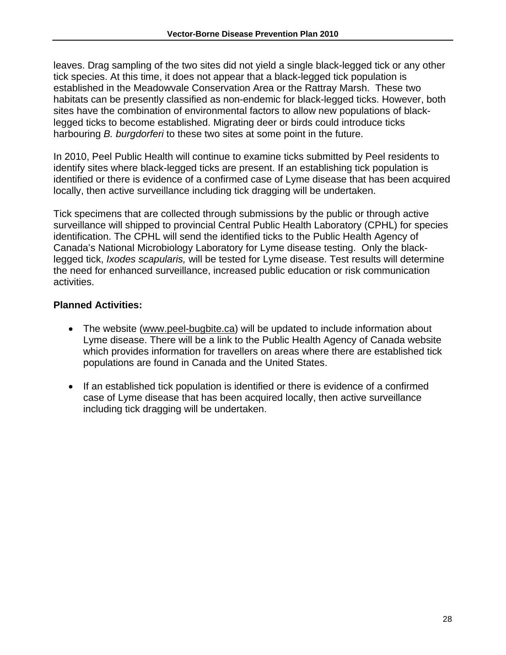leaves. Drag sampling of the two sites did not yield a single black-legged tick or any other tick species. At this time, it does not appear that a black-legged tick population is established in the Meadowvale Conservation Area or the Rattray Marsh. These two habitats can be presently classified as non-endemic for black-legged ticks. However, both sites have the combination of environmental factors to allow new populations of blacklegged ticks to become established. Migrating deer or birds could introduce ticks harbouring *B. burgdorferi* to these two sites at some point in the future.

In 2010, Peel Public Health will continue to examine ticks submitted by Peel residents to identify sites where black-legged ticks are present. If an establishing tick population is identified or there is evidence of a confirmed case of Lyme disease that has been acquired locally, then active surveillance including tick dragging will be undertaken.

Tick specimens that are collected through submissions by the public or through active surveillance will shipped to provincial Central Public Health Laboratory (CPHL) for species identification. The CPHL will send the identified ticks to the Public Health Agency of Canada's National Microbiology Laboratory for Lyme disease testing. Only the blacklegged tick, *Ixodes scapularis,* will be tested for Lyme disease. Test results will determine the need for enhanced surveillance, increased public education or risk communication activities.

- The website (www.peel-bugbite.ca) will be updated to include information about Lyme disease. There will be a link to the Public Health Agency of Canada website which provides information for travellers on areas where there are established tick populations are found in Canada and the United States.
- If an established tick population is identified or there is evidence of a confirmed case of Lyme disease that has been acquired locally, then active surveillance including tick dragging will be undertaken.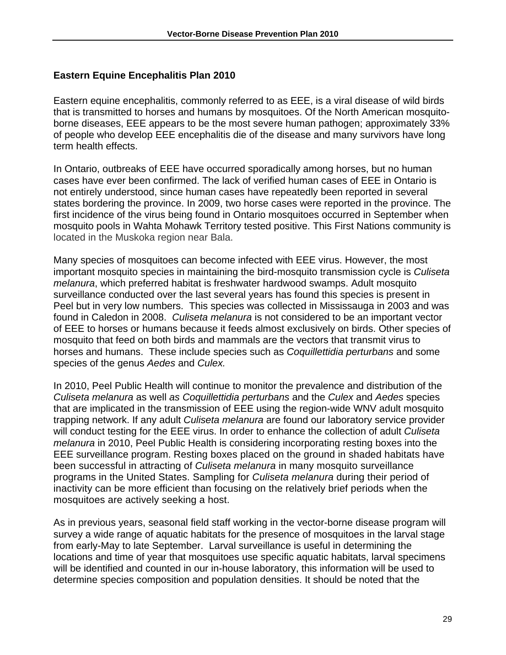# **Eastern Equine Encephalitis Plan 2010**

Eastern equine encephalitis, commonly referred to as EEE, is a viral disease of wild birds that is transmitted to horses and humans by mosquitoes. Of the North American mosquitoborne diseases, EEE appears to be the most severe human pathogen; approximately 33% of people who develop EEE encephalitis die of the disease and many survivors have long term health effects.

In Ontario, outbreaks of EEE have occurred sporadically among horses, but no human cases have ever been confirmed. The lack of verified human cases of EEE in Ontario is not entirely understood, since human cases have repeatedly been reported in several states bordering the province. In 2009, two horse cases were reported in the province. The first incidence of the virus being found in Ontario mosquitoes occurred in September when mosquito pools in Wahta Mohawk Territory tested positive. This First Nations community is located in the Muskoka region near Bala.

Many species of mosquitoes can become infected with EEE virus. However, the most important mosquito species in maintaining the bird-mosquito transmission cycle is *Culiseta melanura*, which preferred habitat is freshwater hardwood swamps. Adult mosquito surveillance conducted over the last several years has found this species is present in Peel but in very low numbers. This species was collected in Mississauga in 2003 and was found in Caledon in 2008. *Culiseta melanura* is not considered to be an important vector of EEE to horses or humans because it feeds almost exclusively on birds. Other species of mosquito that feed on both birds and mammals are the vectors that transmit virus to horses and humans. These include species such as *Coquillettidia perturbans* and some species of the genus *Aedes* and *Culex.* 

In 2010, Peel Public Health will continue to monitor the prevalence and distribution of the *Culiseta melanura* as well *as Coquillettidia perturbans* and the *Culex* and *Aedes* species that are implicated in the transmission of EEE using the region-wide WNV adult mosquito trapping network. If any adult *Culiseta melanura* are found our laboratory service provider will conduct testing for the EEE virus. In order to enhance the collection of adult *Culiseta melanura* in 2010, Peel Public Health is considering incorporating resting boxes into the EEE surveillance program. Resting boxes placed on the ground in shaded habitats have been successful in attracting of *Culiseta melanura* in many mosquito surveillance programs in the United States. Sampling for *Culiseta melanura* during their period of inactivity can be more efficient than focusing on the relatively brief periods when the mosquitoes are actively seeking a host.

As in previous years, seasonal field staff working in the vector-borne disease program will survey a wide range of aquatic habitats for the presence of mosquitoes in the larval stage from early-May to late September. Larval surveillance is useful in determining the locations and time of year that mosquitoes use specific aquatic habitats, larval specimens will be identified and counted in our in-house laboratory, this information will be used to determine species composition and population densities. It should be noted that the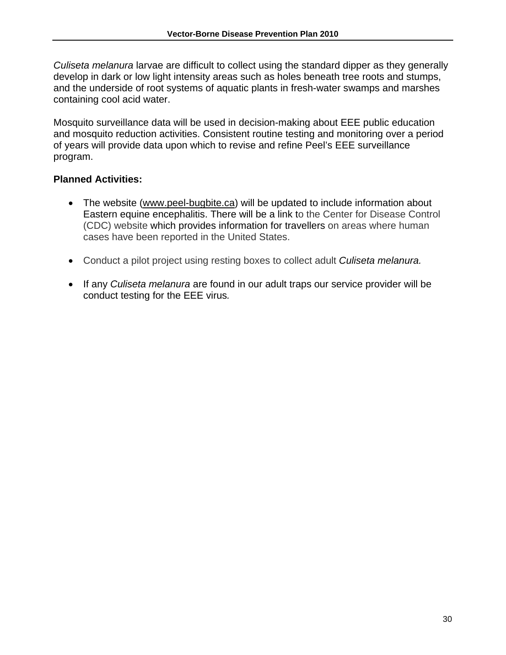*Culiseta melanura* larvae are difficult to collect using the standard dipper as they generally develop in dark or low light intensity areas such as holes beneath tree roots and stumps, and the underside of root systems of aquatic plants in fresh-water swamps and marshes containing cool acid water.

Mosquito surveillance data will be used in decision-making about EEE public education and mosquito reduction activities. Consistent routine testing and monitoring over a period of years will provide data upon which to revise and refine Peel's EEE surveillance program.

- The website (www.peel-bugbite.ca) will be updated to include information about Eastern equine encephalitis. There will be a link to the Center for Disease Control (CDC) website which provides information for travellers on areas where human cases have been reported in the United States.
- Conduct a pilot project using resting boxes to collect adult *Culiseta melanura.*
- If any *Culiseta melanura* are found in our adult traps our service provider will be conduct testing for the EEE virus*.*